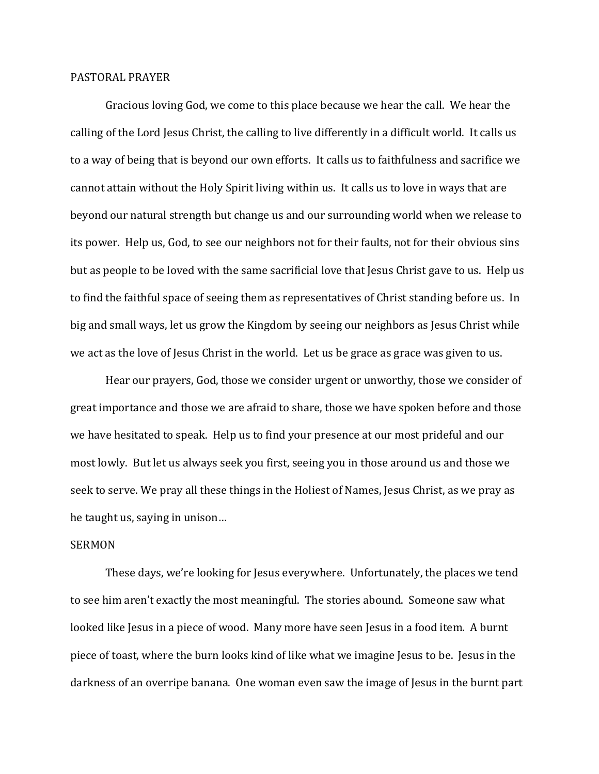## PASTORAL PRAYER

Gracious loving God, we come to this place because we hear the call. We hear the calling of the Lord Jesus Christ, the calling to live differently in a difficult world. It calls us to a way of being that is beyond our own efforts. It calls us to faithfulness and sacrifice we cannot attain without the Holy Spirit living within us. It calls us to love in ways that are beyond our natural strength but change us and our surrounding world when we release to its power. Help us, God, to see our neighbors not for their faults, not for their obvious sins but as people to be loved with the same sacrificial love that Jesus Christ gave to us. Help us to find the faithful space of seeing them as representatives of Christ standing before us. In big and small ways, let us grow the Kingdom by seeing our neighbors as Jesus Christ while we act as the love of Jesus Christ in the world. Let us be grace as grace was given to us.

Hear our prayers, God, those we consider urgent or unworthy, those we consider of great importance and those we are afraid to share, those we have spoken before and those we have hesitated to speak. Help us to find your presence at our most prideful and our most lowly. But let us always seek you first, seeing you in those around us and those we seek to serve. We pray all these things in the Holiest of Names, Jesus Christ, as we pray as he taught us, saying in unison…

## SERMON

These days, we're looking for Jesus everywhere. Unfortunately, the places we tend to see him aren't exactly the most meaningful. The stories abound. Someone saw what looked like Jesus in a piece of wood. Many more have seen Jesus in a food item. A burnt piece of toast, where the burn looks kind of like what we imagine Jesus to be. Jesus in the darkness of an overripe banana. One woman even saw the image of Jesus in the burnt part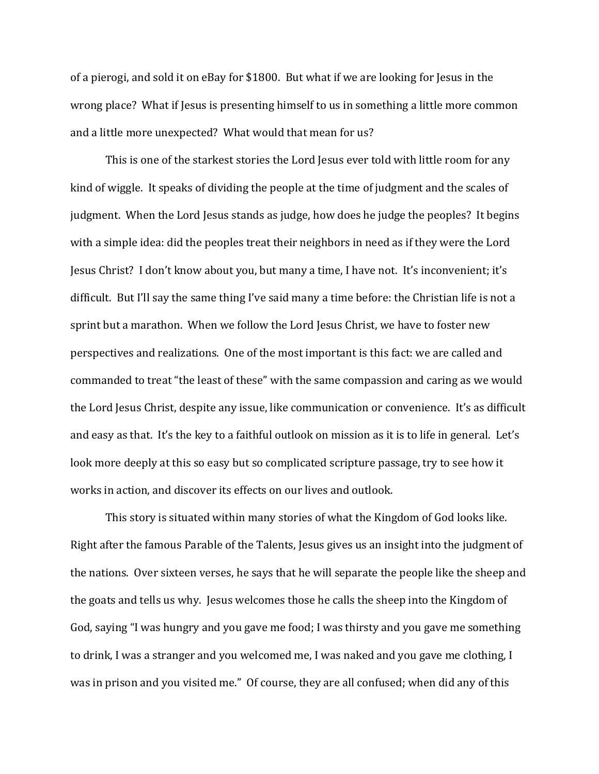of a pierogi, and sold it on eBay for \$1800. But what if we are looking for Jesus in the wrong place? What if Jesus is presenting himself to us in something a little more common and a little more unexpected? What would that mean for us?

This is one of the starkest stories the Lord Jesus ever told with little room for any kind of wiggle. It speaks of dividing the people at the time of judgment and the scales of judgment. When the Lord Jesus stands as judge, how does he judge the peoples? It begins with a simple idea: did the peoples treat their neighbors in need as if they were the Lord Jesus Christ? I don't know about you, but many a time, I have not. It's inconvenient; it's difficult. But I'll say the same thing I've said many a time before: the Christian life is not a sprint but a marathon. When we follow the Lord Jesus Christ, we have to foster new perspectives and realizations. One of the most important is this fact: we are called and commanded to treat "the least of these" with the same compassion and caring as we would the Lord Jesus Christ, despite any issue, like communication or convenience. It's as difficult and easy as that. It's the key to a faithful outlook on mission as it is to life in general. Let's look more deeply at this so easy but so complicated scripture passage, try to see how it works in action, and discover its effects on our lives and outlook.

This story is situated within many stories of what the Kingdom of God looks like. Right after the famous Parable of the Talents, Jesus gives us an insight into the judgment of the nations. Over sixteen verses, he says that he will separate the people like the sheep and the goats and tells us why. Jesus welcomes those he calls the sheep into the Kingdom of God, saying "I was hungry and you gave me food; I was thirsty and you gave me something to drink, I was a stranger and you welcomed me, I was naked and you gave me clothing, I was in prison and you visited me." Of course, they are all confused; when did any of this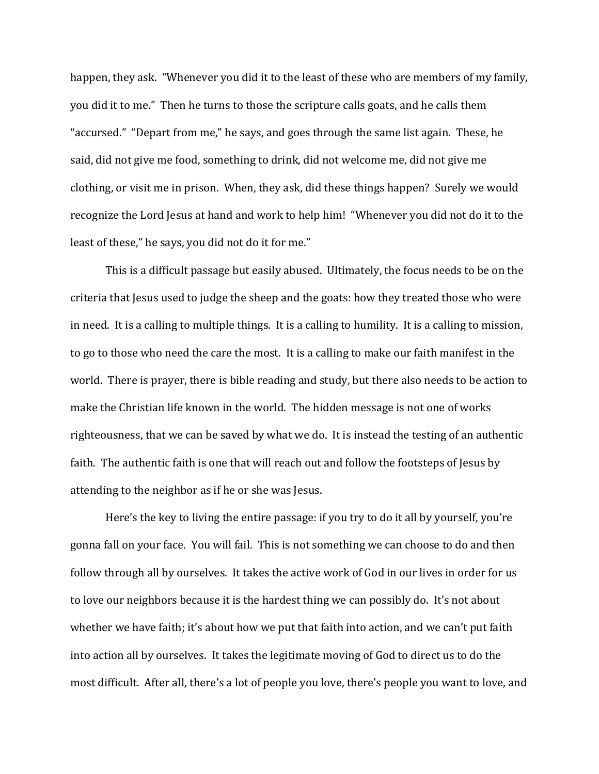happen, they ask. "Whenever you did it to the least of these who are members of my family, you did it to me." Then he turns to those the scripture calls goats, and he calls them "accursed." "Depart from me," he says, and goes through the same list again. These, he said, did not give me food, something to drink, did not welcome me, did not give me clothing, or visit me in prison. When, they ask, did these things happen? Surely we would recognize the Lord Jesus at hand and work to help him! "Whenever you did not do it to the least of these," he says, you did not do it for me."

This is a difficult passage but easily abused. Ultimately, the focus needs to be on the criteria that Jesus used to judge the sheep and the goats: how they treated those who were in need. It is a calling to multiple things. It is a calling to humility. It is a calling to mission, to go to those who need the care the most. It is a calling to make our faith manifest in the world. There is prayer, there is bible reading and study, but there also needs to be action to make the Christian life known in the world. The hidden message is not one of works righteousness, that we can be saved by what we do. It is instead the testing of an authentic faith. The authentic faith is one that will reach out and follow the footsteps of Jesus by attending to the neighbor as if he or she was Jesus.

Here's the key to living the entire passage: if you try to do it all by yourself, you're gonna fall on your face. You will fail. This is not something we can choose to do and then follow through all by ourselves. It takes the active work of God in our lives in order for us to love our neighbors because it is the hardest thing we can possibly do. It's not about whether we have faith; it's about how we put that faith into action, and we can't put faith into action all by ourselves. It takes the legitimate moving of God to direct us to do the most difficult. After all, there's a lot of people you love, there's people you want to love, and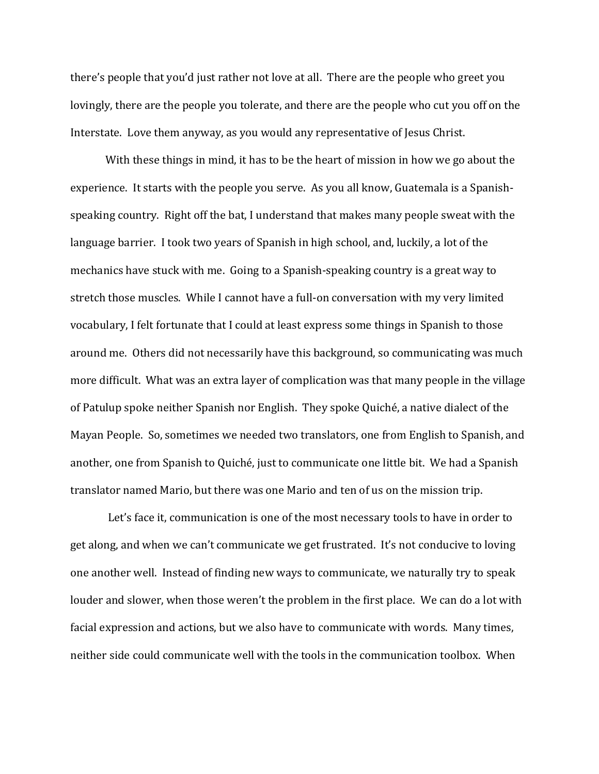there's people that you'd just rather not love at all. There are the people who greet you lovingly, there are the people you tolerate, and there are the people who cut you off on the Interstate. Love them anyway, as you would any representative of Jesus Christ.

With these things in mind, it has to be the heart of mission in how we go about the experience. It starts with the people you serve. As you all know, Guatemala is a Spanishspeaking country. Right off the bat, I understand that makes many people sweat with the language barrier. I took two years of Spanish in high school, and, luckily, a lot of the mechanics have stuck with me. Going to a Spanish-speaking country is a great way to stretch those muscles. While I cannot have a full-on conversation with my very limited vocabulary, I felt fortunate that I could at least express some things in Spanish to those around me. Others did not necessarily have this background, so communicating was much more difficult. What was an extra layer of complication was that many people in the village of Patulup spoke neither Spanish nor English. They spoke Quiché, a native dialect of the Mayan People. So, sometimes we needed two translators, one from English to Spanish, and another, one from Spanish to Quiché, just to communicate one little bit. We had a Spanish translator named Mario, but there was one Mario and ten of us on the mission trip.

Let's face it, communication is one of the most necessary tools to have in order to get along, and when we can't communicate we get frustrated. It's not conducive to loving one another well. Instead of finding new ways to communicate, we naturally try to speak louder and slower, when those weren't the problem in the first place. We can do a lot with facial expression and actions, but we also have to communicate with words. Many times, neither side could communicate well with the tools in the communication toolbox. When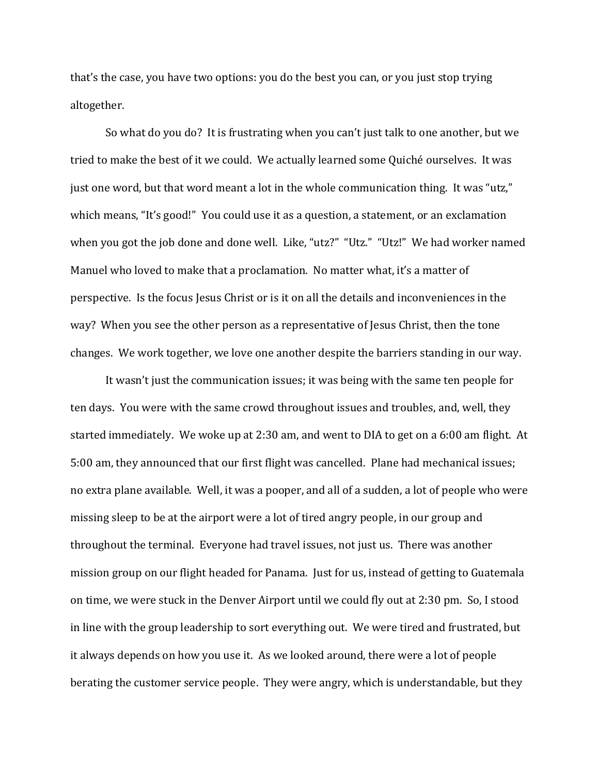that's the case, you have two options: you do the best you can, or you just stop trying altogether.

So what do you do? It is frustrating when you can't just talk to one another, but we tried to make the best of it we could. We actually learned some Quiché ourselves. It was just one word, but that word meant a lot in the whole communication thing. It was "utz," which means, "It's good!" You could use it as a question, a statement, or an exclamation when you got the job done and done well. Like, "utz?" "Utz." "Utz!" We had worker named Manuel who loved to make that a proclamation. No matter what, it's a matter of perspective. Is the focus Jesus Christ or is it on all the details and inconveniences in the way? When you see the other person as a representative of Jesus Christ, then the tone changes. We work together, we love one another despite the barriers standing in our way.

It wasn't just the communication issues; it was being with the same ten people for ten days. You were with the same crowd throughout issues and troubles, and, well, they started immediately. We woke up at 2:30 am, and went to DIA to get on a 6:00 am flight. At 5:00 am, they announced that our first flight was cancelled. Plane had mechanical issues; no extra plane available. Well, it was a pooper, and all of a sudden, a lot of people who were missing sleep to be at the airport were a lot of tired angry people, in our group and throughout the terminal. Everyone had travel issues, not just us. There was another mission group on our flight headed for Panama. Just for us, instead of getting to Guatemala on time, we were stuck in the Denver Airport until we could fly out at 2:30 pm. So, I stood in line with the group leadership to sort everything out. We were tired and frustrated, but it always depends on how you use it. As we looked around, there were a lot of people berating the customer service people. They were angry, which is understandable, but they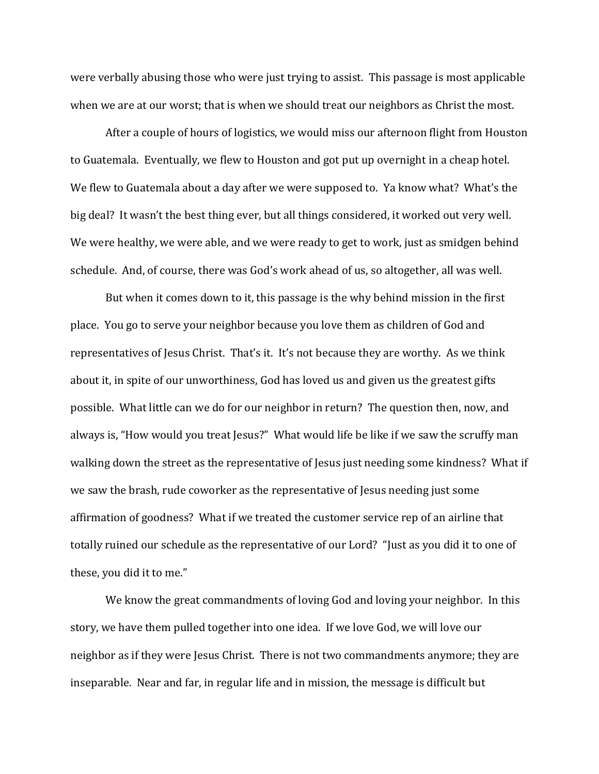were verbally abusing those who were just trying to assist. This passage is most applicable when we are at our worst; that is when we should treat our neighbors as Christ the most.

After a couple of hours of logistics, we would miss our afternoon flight from Houston to Guatemala. Eventually, we flew to Houston and got put up overnight in a cheap hotel. We flew to Guatemala about a day after we were supposed to. Ya know what? What's the big deal? It wasn't the best thing ever, but all things considered, it worked out very well. We were healthy, we were able, and we were ready to get to work, just as smidgen behind schedule. And, of course, there was God's work ahead of us, so altogether, all was well.

But when it comes down to it, this passage is the why behind mission in the first place. You go to serve your neighbor because you love them as children of God and representatives of Jesus Christ. That's it. It's not because they are worthy. As we think about it, in spite of our unworthiness, God has loved us and given us the greatest gifts possible. What little can we do for our neighbor in return? The question then, now, and always is, "How would you treat Jesus?" What would life be like if we saw the scruffy man walking down the street as the representative of Jesus just needing some kindness? What if we saw the brash, rude coworker as the representative of Jesus needing just some affirmation of goodness? What if we treated the customer service rep of an airline that totally ruined our schedule as the representative of our Lord? "Just as you did it to one of these, you did it to me."

We know the great commandments of loving God and loving your neighbor. In this story, we have them pulled together into one idea. If we love God, we will love our neighbor as if they were Jesus Christ. There is not two commandments anymore; they are inseparable. Near and far, in regular life and in mission, the message is difficult but